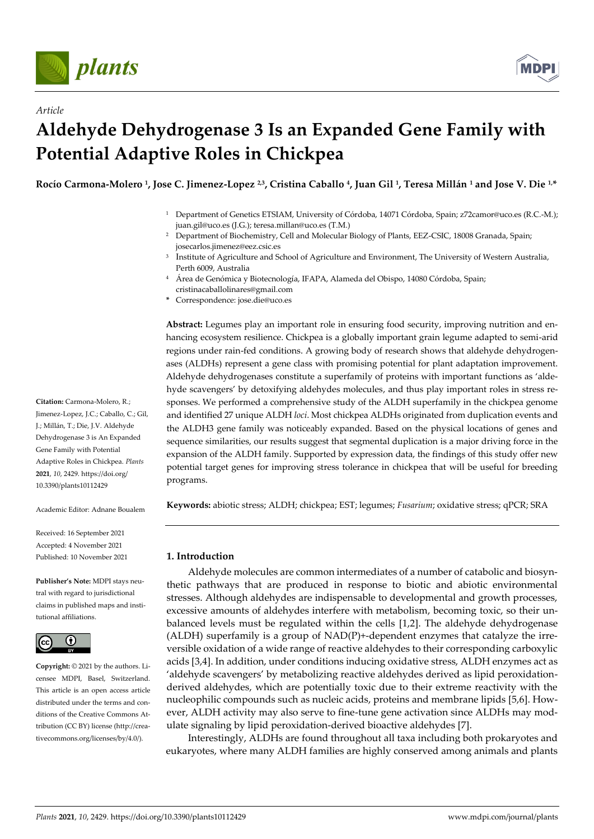

*Article*



# **Aldehyde Dehydrogenase 3 Is an Expanded Gene Family with Potential Adaptive Roles in Chickpea**

**Rocío Carmona-Molero <sup>1</sup> , Jose C. Jimenez-Lopez 2,3, Cristina Caballo <sup>4</sup> , Juan Gil <sup>1</sup> , Teresa Millán <sup>1</sup> and Jose V. Die 1,\***

- <sup>1</sup> Department of Genetics ETSIAM, University of Córdoba, 14071 Córdoba, Spain; z72camor@uco.es (R.C.-M.); juan.gil@uco.es (J.G.); teresa.millan@uco.es (T.M.)
- <sup>2</sup> Department of Biochemistry, Cell and Molecular Biology of Plants, EEZ-CSIC, 18008 Granada, Spain; josecarlos.jimenez@eez.csic.es
- <sup>3</sup> Institute of Agriculture and School of Agriculture and Environment, The University of Western Australia, Perth 6009, Australia
- <sup>4</sup> Área de Genómica y Biotecnología, IFAPA, Alameda del Obispo, 14080 Córdoba, Spain; cristinacaballolinares@gmail.com
- **\*** Correspondence: jose.die@uco.es

**Abstract:** Legumes play an important role in ensuring food security, improving nutrition and enhancing ecosystem resilience. Chickpea is a globally important grain legume adapted to semi-arid regions under rain-fed conditions. A growing body of research shows that aldehyde dehydrogenases (ALDHs) represent a gene class with promising potential for plant adaptation improvement. Aldehyde dehydrogenases constitute a superfamily of proteins with important functions as 'aldehyde scavengers' by detoxifying aldehydes molecules, and thus play important roles in stress responses. We performed a comprehensive study of the ALDH superfamily in the chickpea genome and identified 27 unique ALDH *loci*. Most chickpea ALDHs originated from duplication events and the ALDH3 gene family was noticeably expanded. Based on the physical locations of genes and sequence similarities, our results suggest that segmental duplication is a major driving force in the expansion of the ALDH family. Supported by expression data, the findings of this study offer new potential target genes for improving stress tolerance in chickpea that will be useful for breeding programs.

**Keywords:** abiotic stress; ALDH; chickpea; EST; legumes; *Fusarium*; oxidative stress; qPCR; SRA

# **1. Introduction**

Aldehyde molecules are common intermediates of a number of catabolic and biosynthetic pathways that are produced in response to biotic and abiotic environmental stresses. Although aldehydes are indispensable to developmental and growth processes, excessive amounts of aldehydes interfere with metabolism, becoming toxic, so their unbalanced levels must be regulated within the cells [\[1,2\].](https://sciwheel.com/work/citation?ids=1238862,6837518&pre=&pre=&suf=&suf=&sa=0,0) The aldehyde dehydrogenase (ALDH) superfamily is a group of NAD(P)+-dependent enzymes that catalyze the irreversible oxidation of a wide range of reactive aldehydes to their corresponding carboxylic acids [\[3,4\].](https://sciwheel.com/work/citation?ids=2141897,6837524&pre=&pre=&suf=&suf=&sa=0,0) In addition, under conditions inducing oxidative stress, ALDH enzymes act as 'aldehyde scavengers' by metabolizing reactive aldehydes derived as lipid peroxidationderived aldehydes, which are potentially toxic due to their extreme reactivity with the nucleophilic compounds such as nucleic acids, proteins and membrane lipids [\[5,6\].](https://sciwheel.com/work/citation?ids=5286380,6837555&pre=&pre=&suf=&suf=&sa=0,0) However, ALDH activity may also serve to fine-tune gene activation since ALDHs may modulate signaling by lipid peroxidation-derived bioactive aldehydes [\[7\].](https://sciwheel.com/work/citation?ids=6893619&pre=&suf=&sa=0)

Interestingly, ALDHs are found throughout all taxa including both prokaryotes and eukaryotes, where many ALDH families are highly conserved among animals and plants

**Citation:** Carmona-Molero, R.; Jimenez-Lopez, J.C.; Caballo, C.; Gil, J.; Millán, T.; Die, J.V. Aldehyde Dehydrogenase 3 is An Expanded Gene Family with Potential Adaptive Roles in Chickpea. *Plants*  **2021**, *10*, 2429. https://doi.org/ 10.3390/plants10112429

Academic Editor: Adnane Boualem

Received: 16 September 2021 Accepted: 4 November 2021 Published: 10 November 2021

**Publisher's Note:** MDPI stays neutral with regard to jurisdictional claims in published maps and institutional affiliations.



**Copyright:** © 2021 by the authors. Licensee MDPI, Basel, Switzerland. This article is an open access article distributed under the terms and conditions of the Creative Commons Attribution (CC BY) license (http://creativecommons.org/licenses/by/4.0/).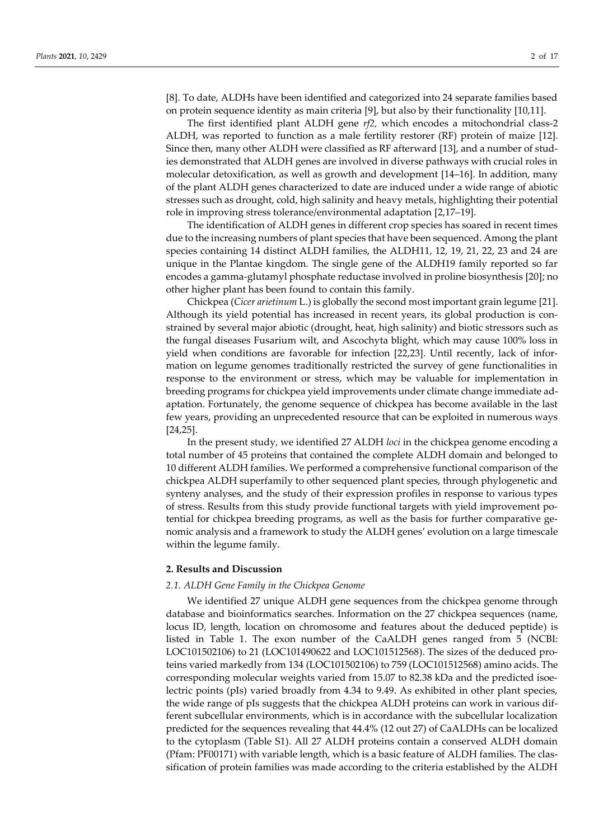[\[8\].](https://sciwheel.com/work/citation?ids=1820776&pre=&suf=&sa=0) To date, ALDHs have been identified and categorized into 24 separate families based on protein sequence identity as main criteria [\[9\],](https://sciwheel.com/work/citation?ids=6078154&pre=&suf=&sa=0) but also by their functionalit[y \[10,11\].](https://sciwheel.com/work/citation?ids=4488531,6832338&pre=&pre=&suf=&suf=&sa=0,0)

The first identified plant ALDH gene *rf2,* which encodes a mitochondrial class-2 ALDH, was reported to function as a male fertility restorer (RF) protein of maize [\[12\].](https://sciwheel.com/work/citation?ids=6837776&pre=&suf=&sa=0) Since then, many other ALDH were classified as RF afterwar[d \[13\],](https://sciwheel.com/work/citation?ids=6837326&pre=&suf=&sa=0) and a number of studies demonstrated that ALDH genes are involved in diverse pathways with crucial roles in molecular detoxification, as well as growth and development [\[14](https://sciwheel.com/work/citation?ids=4488387,6893614,4488979&pre=&pre=&pre=&suf=&suf=&suf=&sa=0,0,0)–16]. In addition, many of the plant ALDH genes characterized to date are induced under a wide range of abiotic stresses such as drought, cold, high salinity and heavy metals, highlighting their potential role in improving stress tolerance/environmental adaptation [\[2,17](https://sciwheel.com/work/citation?ids=6837518,6837828,6832339,6822530&pre=&pre=&pre=&pre=&suf=&suf=&suf=&suf=&sa=0,0,0,0)–19].

The identification of ALDH genes in different crop species has soared in recent times due to the increasing numbers of plant species that have been sequenced. Among the plant species containing 14 distinct ALDH families, the ALDH11, 12, 19, 21, 22, 23 and 24 are unique in the Plantae kingdom. The single gene of the ALDH19 family reported so far encodes a gamma-glutamyl phosphate reductase involved in proline biosynthesi[s \[20\];](https://sciwheel.com/work/citation?ids=6809400&pre=&suf=&sa=0) no other higher plant has been found to contain this family.

Chickpea (*Cicer arietinum* L.) is globally the second most important grain legum[e \[21\].](https://sciwheel.com/work/citation?ids=5700725&pre=&suf=&sa=0) Although its yield potential has increased in recent years, its global production is constrained by several major abiotic (drought, heat, high salinity) and biotic stressors such as the fungal diseases Fusarium wilt, and Ascochyta blight, which may cause 100% loss in yield when conditions are favorable for infection [\[22,23\].](https://sciwheel.com/work/citation?ids=6032596,1261424&pre=&pre=&suf=&suf=&sa=0,0) Until recently, lack of information on legume genomes traditionally restricted the survey of gene functionalities in response to the environment or stress, which may be valuable for implementation in breeding programs for chickpea yield improvements under climate change immediate adaptation. Fortunately, the genome sequence of chickpea has become available in the last few years, providing an unprecedented resource that can be exploited in numerous ways [\[24,25\].](https://sciwheel.com/work/citation?ids=226132,226893&pre=&pre=&suf=&suf=&sa=0,0)

In the present study, we identified 27 ALDH *loci* in the chickpea genome encoding a total number of 45 proteins that contained the complete ALDH domain and belonged to 10 different ALDH families. We performed a comprehensive functional comparison of the chickpea ALDH superfamily to other sequenced plant species, through phylogenetic and synteny analyses, and the study of their expression profiles in response to various types of stress. Results from this study provide functional targets with yield improvement potential for chickpea breeding programs, as well as the basis for further comparative genomic analysis and a framework to study the ALDH genes' evolution on a large timescale within the legume family.

#### **2. Results and Discussion**

## *2.1. ALDH Gene Family in the Chickpea Genome*

We identified 27 unique ALDH gene sequences from the chickpea genome through database and bioinformatics searches. Information on the 27 chickpea sequences (name, locus ID, length, location on chromosome and features about the deduced peptide) is listed in Table 1. The exon number of the CaALDH genes ranged from 5 (NCBI: LOC101502106) to 21 (LOC101490622 and LOC101512568). The sizes of the deduced proteins varied markedly from 134 (LOC101502106) to 759 (LOC101512568) amino acids. The corresponding molecular weights varied from 15.07 to 82.38 kDa and the predicted isoelectric points (pIs) varied broadly from 4.34 to 9.49. As exhibited in other plant species, the wide range of pIs suggests that the chickpea ALDH proteins can work in various different subcellular environments, which is in accordance with the subcellular localization predicted for the sequences revealing that 44.4% (12 out 27) of CaALDHs can be localized to the cytoplasm (Table S1). All 27 ALDH proteins contain a conserved ALDH domain (Pfam: PF00171) with variable length, which is a basic feature of ALDH families. The classification of protein families was made according to the criteria established by the ALDH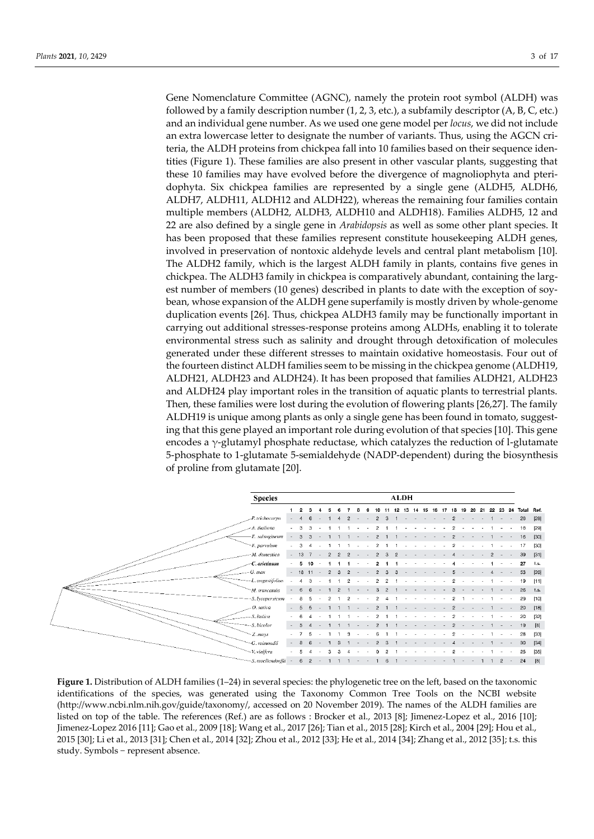Gene Nomenclature Committee (AGNC), namely the protein root symbol (ALDH) was followed by a family description number (1, 2, 3, etc.), a subfamily descriptor (A, B, C, etc.) and an individual gene number. As we used one gene model per *locus*, we did not include an extra lowercase letter to designate the number of variants. Thus, using the AGCN criteria, the ALDH proteins from chickpea fall into 10 families based on their sequence identities (Figure 1). These families are also present in other vascular plants, suggesting that these 10 families may have evolved before the divergence of magnoliophyta and pteridophyta. Six chickpea families are represented by a single gene (ALDH5, ALDH6, ALDH7, ALDH11, ALDH12 and ALDH22), whereas the remaining four families contain multiple members (ALDH2, ALDH3, ALDH10 and ALDH18). Families ALDH5, 12 and 22 are also defined by a single gene in *Arabidopsis* as well as some other plant species. It has been proposed that these families represent constitute housekeeping ALDH genes, involved in preservation of nontoxic aldehyde levels and central plant metabolism [10]. The ALDH2 family, which is the largest ALDH family in plants, contains five genes in chickpea. The ALDH3 family in chickpea is comparatively abundant, containing the largest number of members (10 genes) described in plants to date with the exception of soybean, whose expansion of the ALDH gene superfamily is mostly driven by whole-genome duplication events [26]. Thus, chickpea ALDH3 family may be functionally important in carrying out additional stresses-response proteins among ALDHs, enabling it to tolerate environmental stress such as salinity and drought through detoxification of molecules generated under these different stresses to maintain oxidative homeostasis. Four out of the fourteen distinct ALDH families seem to be missing in the chickpea genome (ALDH19, ALDH21, ALDH23 and ALDH24). It has been proposed that families ALDH21, ALDH23 and ALDH24 play important roles in the transition of aquatic plants to terrestrial plants. Then, these families were lost during the evolution of flowering plants [26,27]. The family ALDH19 is unique among plants as only a single gene has been found in tomato, suggesting that this gene played an important role during evolution of that species [10]. This gene encodes a  $\gamma$ -glutamyl phosphate reductase, which catalyzes the reduction of l-glutamate 5-phosphate to 1-glutamate 5-semialdehyde (NADP-dependent) during the biosynthesis of proline from glutamate [20].



**Figure 1.** Distribution of ALDH families (1–24) in several species: the phylogenetic tree on the left, based on the taxonomic identifications of the species, was generated using the Taxonomy Common Tree Tools on the NCBI website [\(http://www.ncbi.nlm.nih.gov/guide/taxonomy/,](http://www.ncbi.nlm.nih.gov/guide/taxonomy/) accessed on 20 November 2019). The names of the ALDH families are listed on top of the table. The references (Ref.) are as follows : Brocker et al., 2013 [8]; Jimenez-Lopez et al., 2016 [10]; Jimenez-Lopez 2016 [11]; Gao et al., 2009 [18]; Wang et al., 2017 [26]; Tian et al., 2015 [28]; Kirch et al., 2004 [29]; Hou et al., 2015 [30]; Li et al., 2013 [31]; Chen et al., 2014 [32]; Zhou et al., 2012 [33]; He et al., 2014 [34]; Zhang et al., 2012 [35]; t.s. this study. Symbols − represent absence.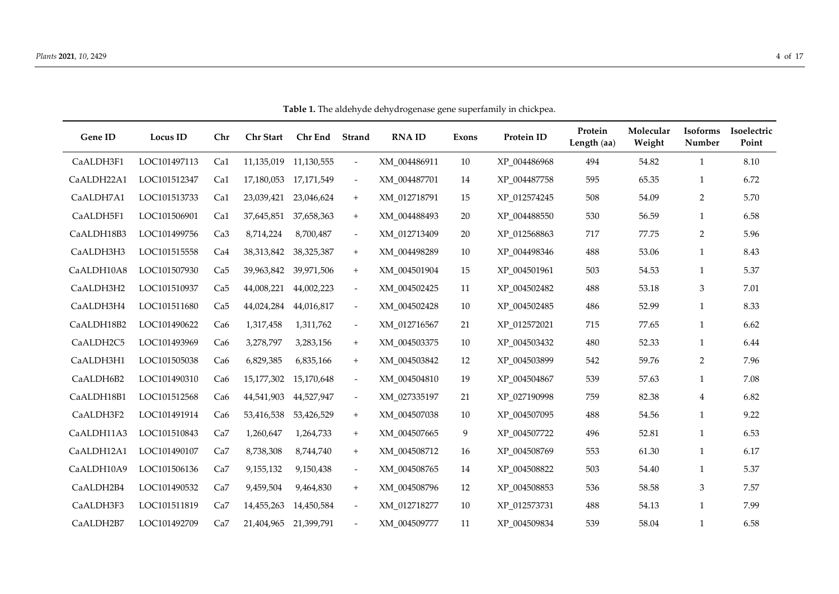| Gene ID    | Locus ID     | Chr             | <b>Chr Start</b>      | Chr End               | Strand                           | <b>RNAID</b> | Exons | Protein ID   | Protein<br>Length (aa) | Molecular<br>Weight | <b>Isoforms</b><br>Number | Isoelectric<br>Point |
|------------|--------------|-----------------|-----------------------|-----------------------|----------------------------------|--------------|-------|--------------|------------------------|---------------------|---------------------------|----------------------|
| CaALDH3F1  | LOC101497113 | Ca1             |                       | 11,135,019 11,130,555 | $\overline{\phantom{a}}$         | XM_004486911 | 10    | XP_004486968 | 494                    | 54.82               | 1                         | 8.10                 |
| CaALDH22A1 | LOC101512347 | Ca1             |                       | 17,180,053 17,171,549 | $\overline{\phantom{a}}$         | XM_004487701 | 14    | XP_004487758 | 595                    | 65.35               | 1                         | 6.72                 |
| CaALDH7A1  | LOC101513733 | Ca1             | 23,039,421            | 23,046,624            | $\boldsymbol{+}$                 | XM_012718791 | 15    | XP_012574245 | 508                    | 54.09               | $\overline{2}$            | 5.70                 |
| CaALDH5F1  | LOC101506901 | Ca1             | 37,645,851            | 37,658,363            | $\begin{array}{c} + \end{array}$ | XM_004488493 | 20    | XP_004488550 | 530                    | 56.59               | $\mathbf{1}$              | 6.58                 |
| CaALDH18B3 | LOC101499756 | Ca3             | 8,714,224             | 8,700,487             | $\overline{\phantom{a}}$         | XM_012713409 | 20    | XP_012568863 | 717                    | 77.75               | 2                         | 5.96                 |
| CaALDH3H3  | LOC101515558 | Ca <sub>4</sub> | 38,313,842            | 38,325,387            | $+$                              | XM 004498289 | 10    | XP 004498346 | 488                    | 53.06               | 1                         | 8.43                 |
| CaALDH10A8 | LOC101507930 | Ca <sub>5</sub> |                       | 39,963,842 39,971,506 | $\boldsymbol{+}$                 | XM_004501904 | 15    | XP_004501961 | 503                    | 54.53               | 1                         | 5.37                 |
| CaALDH3H2  | LOC101510937 | Ca5             | 44,008,221            | 44,002,223            | $\overline{\phantom{a}}$         | XM_004502425 | 11    | XP_004502482 | 488                    | 53.18               | $\mathfrak{Z}$            | 7.01                 |
| CaALDH3H4  | LOC101511680 | Ca5             | 44,024,284            | 44,016,817            | $\overline{\phantom{a}}$         | XM 004502428 | 10    | XP 004502485 | 486                    | 52.99               | $\mathbf{1}$              | 8.33                 |
| CaALDH18B2 | LOC101490622 | Ca6             | 1,317,458             | 1,311,762             | $\overline{\phantom{a}}$         | XM_012716567 | 21    | XP_012572021 | 715                    | 77.65               | $\mathbf{1}$              | 6.62                 |
| CaALDH2C5  | LOC101493969 | Ca <sub>6</sub> | 3,278,797             | 3,283,156             | $+$                              | XM_004503375 | 10    | XP_004503432 | 480                    | 52.33               | 1                         | 6.44                 |
| CaALDH3H1  | LOC101505038 | Ca <sub>6</sub> | 6,829,385             | 6,835,166             | $^{\mathrm{+}}$                  | XM_004503842 | 12    | XP_004503899 | 542                    | 59.76               | 2                         | 7.96                 |
| CaALDH6B2  | LOC101490310 | Ca <sub>6</sub> | 15,177,302            | 15,170,648            | $\overline{\phantom{a}}$         | XM_004504810 | 19    | XP_004504867 | 539                    | 57.63               | 1                         | 7.08                 |
| CaALDH18B1 | LOC101512568 | Ca <sub>6</sub> | 44,541,903            | 44,527,947            | $\overline{\phantom{a}}$         | XM 027335197 | 21    | XP 027190998 | 759                    | 82.38               | $\overline{4}$            | 6.82                 |
| CaALDH3F2  | LOC101491914 | Ca <sub>6</sub> | 53,416,538            | 53,426,529            | $\ddot{}$                        | XM_004507038 | 10    | XP 004507095 | 488                    | 54.56               | 1                         | 9.22                 |
| CaALDH11A3 | LOC101510843 | Ca7             | 1,260,647             | 1,264,733             | $\ddot{}$                        | XM_004507665 | 9     | XP_004507722 | 496                    | 52.81               | 1                         | 6.53                 |
| CaALDH12A1 | LOC101490107 | Ca7             | 8,738,308             | 8,744,740             | $\boldsymbol{+}$                 | XM_004508712 | 16    | XP_004508769 | 553                    | 61.30               | $\mathbf{1}$              | 6.17                 |
| CaALDH10A9 | LOC101506136 | Ca7             | 9,155,132             | 9,150,438             | $\blacksquare$                   | XM_004508765 | 14    | XP_004508822 | 503                    | 54.40               | $\mathbf{1}$              | 5.37                 |
| CaALDH2B4  | LOC101490532 | Ca7             | 9,459,504             | 9,464,830             | $\ddot{}$                        | XM 004508796 | 12    | XP 004508853 | 536                    | 58.58               | 3                         | 7.57                 |
| CaALDH3F3  | LOC101511819 | Ca7             | 14,455,263            | 14,450,584            | $\overline{\phantom{a}}$         | XM 012718277 | 10    | XP 012573731 | 488                    | 54.13               | 1                         | 7.99                 |
| CaALDH2B7  | LOC101492709 | Ca7             | 21,404,965 21,399,791 |                       |                                  | XM 004509777 | 11    | XP 004509834 | 539                    | 58.04               | 1                         | 6.58                 |

**Table 1.** The aldehyde dehydrogenase gene superfamily in chickpea.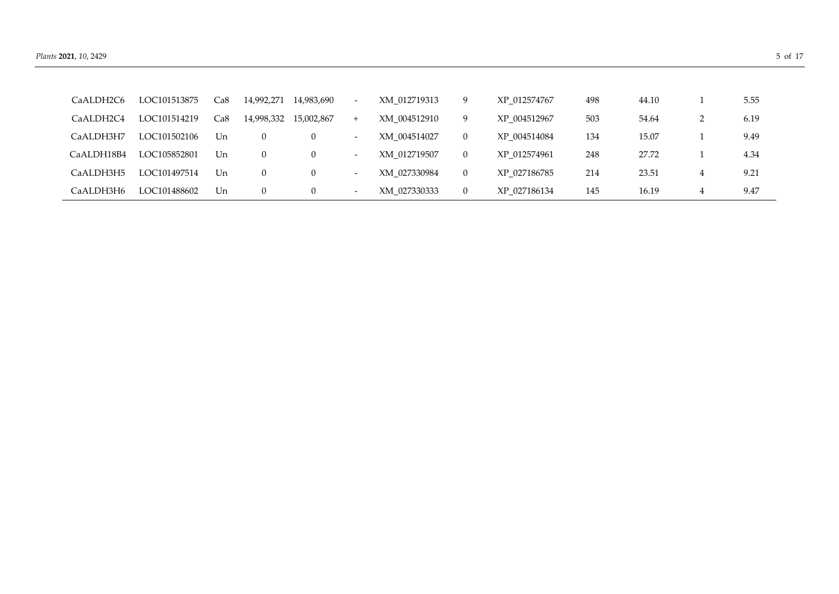| CaALDH2C6  | LOC101513875 | Ca8 | 14,992,271     | 14,983,690 | $\sim$                   | XM 012719313 | 9        | XP 012574767 | 498 | 44.10 |   | 5.55 |
|------------|--------------|-----|----------------|------------|--------------------------|--------------|----------|--------------|-----|-------|---|------|
| CaALDH2C4  | LOC101514219 | Ca8 | 14,998,332     | 15,002,867 | $^{+}$                   | XM 004512910 | 9        | XP 004512967 | 503 | 54.64 | ∠ | 6.19 |
| CaALDH3H7  | LOC101502106 | Un  | $\theta$       | 0          | $\sim$                   | XM 004514027 | 0        | XP 004514084 | 134 | 15.07 |   | 9.49 |
| CaALDH18B4 | LOC105852801 | Un  | $\overline{0}$ | 0          | $\sim$                   | XM 012719507 | $\theta$ | XP 012574961 | 248 | 27.72 |   | 4.34 |
| CaALDH3H5  | LOC101497514 | Un  | $\overline{0}$ | 0          | $\sim$                   | XM 027330984 | $\theta$ | XP 027186785 | 214 | 23.51 | 4 | 9.21 |
| CaALDH3H6  | LOC101488602 | Un  | $\overline{0}$ | $\cup$     | $\overline{\phantom{0}}$ | XM 027330333 | $\theta$ | XP 027186134 | 145 | 16.19 | 4 | 9.47 |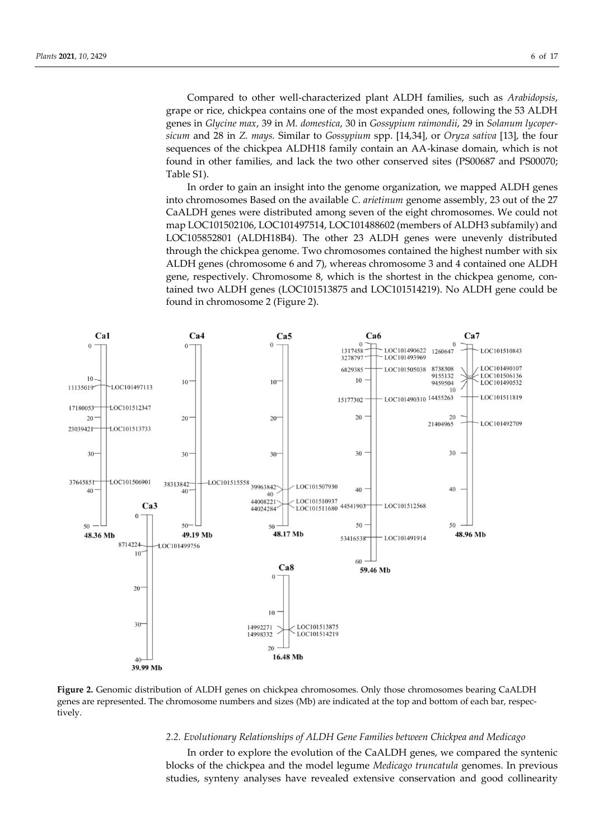Compared to other well-characterized plant ALDH families, such as *Arabidopsis*, grape or rice, chickpea contains one of the most expanded ones, following the 53 ALDH genes in *Glycine max*, 39 in *M. domestica*, 30 in *Gossypium raimondii*, 29 in *Solanum lycopersicum* and 28 in *Z. mays.* Similar to *Gossypium* spp. [\[14,34\],](https://sciwheel.com/work/citation?ids=4488783,4488387&pre=&pre=&suf=&suf=&sa=0,0) or *Oryza sativa* [13], the four sequences of the chickpea ALDH18 family contain an AA-kinase domain, which is not found in other families, and lack the two other conserved sites (PS00687 and PS00070; Table S1).

In order to gain an insight into the genome organization, we mapped ALDH genes into chromosomes Based on the available *C. arietinum* genome assembly, 23 out of the 27 CaALDH genes were distributed among seven of the eight chromosomes. We could not map LOC101502106, LOC101497514, LOC101488602 (members of ALDH3 subfamily) and LOC105852801 (ALDH18B4). The other 23 ALDH genes were unevenly distributed through the chickpea genome. Two chromosomes contained the highest number with six ALDH genes (chromosome 6 and 7), whereas chromosome 3 and 4 contained one ALDH gene, respectively. Chromosome 8, which is the shortest in the chickpea genome, contained two ALDH genes (LOC101513875 and LOC101514219). No ALDH gene could be found in chromosome 2 (Figure 2).



**Figure 2.** Genomic distribution of ALDH genes on chickpea chromosomes. Only those chromosomes bearing CaALDH genes are represented. The chromosome numbers and sizes (Mb) are indicated at the top and bottom of each bar, respectively.

# *2.2. Evolutionary Relationships of ALDH Gene Families between Chickpea and Medicago*

In order to explore the evolution of the CaALDH genes, we compared the syntenic blocks of the chickpea and the model legume *Medicago truncatula* genomes. In previous studies, synteny analyses have revealed extensive conservation and good collinearity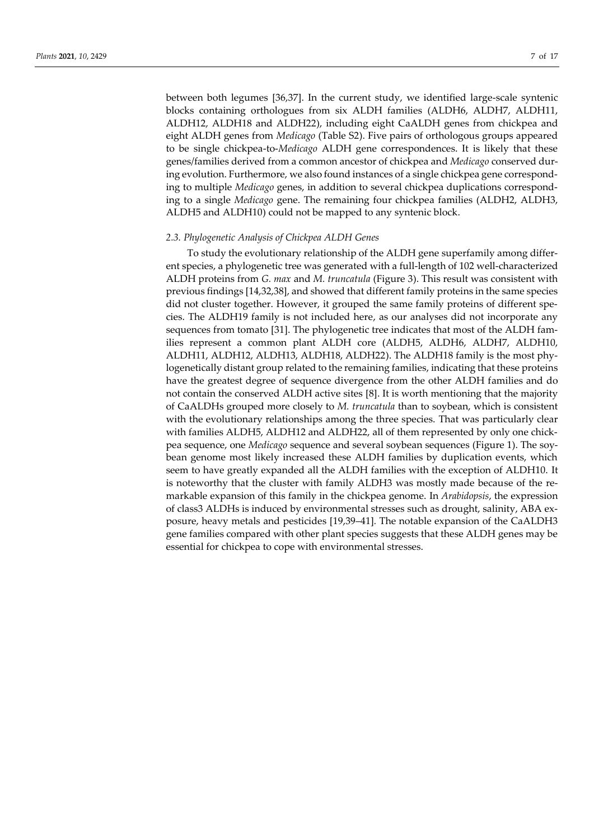between both legumes [36,37]. In the current study, we identified large-scale syntenic blocks containing orthologues from six ALDH families (ALDH6, ALDH7, ALDH11, ALDH12, ALDH18 and ALDH22), including eight CaALDH genes from chickpea and eight ALDH genes from *Medicago* (Table S2). Five pairs of orthologous groups appeared to be single chickpea-to-*Medicago* ALDH gene correspondences. It is likely that these genes/families derived from a common ancestor of chickpea and *Medicago* conserved during evolution. Furthermore, we also found instances of a single chickpea gene corresponding to multiple *Medicago* genes, in addition to several chickpea duplications corresponding to a single *Medicago* gene. The remaining four chickpea families (ALDH2, ALDH3, ALDH5 and ALDH10) could not be mapped to any syntenic block.

#### *2.3. Phylogenetic Analysis of Chickpea ALDH Genes*

To study the evolutionary relationship of the ALDH gene superfamily among different species, a phylogenetic tree was generated with a full-length of 102 well-characterized ALDH proteins from *G. max* and *M. truncatula* (Figure 3). This result was consistent with previous findings [14,32,38], and showed that different family proteins in the same species did not cluster together. However, it grouped the same family proteins of different species. The ALDH19 family is not included here, as our analyses did not incorporate any sequences from tomat[o \[31\].](https://sciwheel.com/work/citation?ids=4488905&pre=&suf=&sa=0) The phylogenetic tree indicates that most of the ALDH families represent a common plant ALDH core (ALDH5, ALDH6, ALDH7, ALDH10, ALDH11, ALDH12, ALDH13, ALDH18, ALDH22). The ALDH18 family is the most phylogenetically distant group related to the remaining families, indicating that these proteins have the greatest degree of sequence divergence from the other ALDH families and do not contain the conserved ALDH active sites [\[8\].](https://sciwheel.com/work/citation?ids=1820776&pre=&suf=&sa=0) It is worth mentioning that the majority of CaALDHs grouped more closely to *M. truncatula* than to soybean, which is consistent with the evolutionary relationships among the three species. That was particularly clear with families ALDH5, ALDH12 and ALDH22, all of them represented by only one chickpea sequence, one *Medicago* sequence and several soybean sequences (Figure 1). The soybean genome most likely increased these ALDH families by duplication events, which seem to have greatly expanded all the ALDH families with the exception of ALDH10. It is noteworthy that the cluster with family ALDH3 was mostly made because of the remarkable expansion of this family in the chickpea genome. In *Arabidopsis*, the expression of class3 ALDHs is induced by environmental stresses such as drought, salinity, ABA exposure, heavy metals and pesticides [\[19,39](https://sciwheel.com/work/citation?ids=803650,6822530,746188,6847909&pre=&pre=&pre=&pre=&suf=&suf=&suf=&suf=&sa=0,0,0,0)–41]*.* The notable expansion of the CaALDH3 gene families compared with other plant species suggests that these ALDH genes may be essential for chickpea to cope with environmental stresses.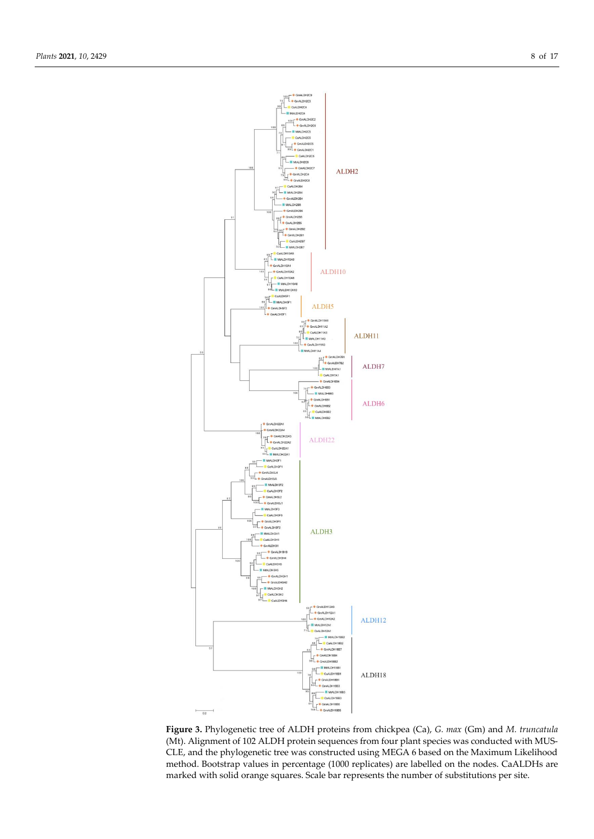

**Figure 3.** Phylogenetic tree of ALDH proteins from chickpea (Ca), *G. max* (Gm) and *M. truncatula*  (Mt). Alignment of 102 ALDH protein sequences from four plant species was conducted with MUS-CLE, and the phylogenetic tree was constructed using MEGA 6 based on the Maximum Likelihood method. Bootstrap values in percentage (1000 replicates) are labelled on the nodes. CaALDHs are marked with solid orange squares. Scale bar represents the number of substitutions per site.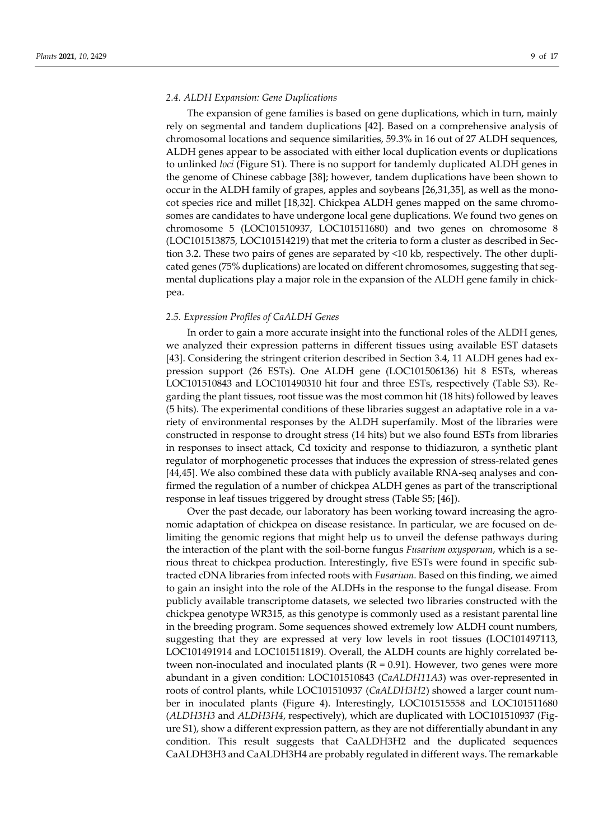## *2.4. ALDH Expansion: Gene Duplications*

The expansion of gene families is based on gene duplications, which in turn, mainly rely on segmental and tandem duplications [\[42\].](https://sciwheel.com/work/citation?ids=1001636&pre=&suf=&sa=0) Based on a comprehensive analysis of chromosomal locations and sequence similarities, 59.3% in 16 out of 27 ALDH sequences, ALDH genes appear to be associated with either local duplication events or duplications to unlinked *loci* (Figure S1). There is no support for tandemly duplicated ALDH genes in the genome of Chinese cabbage [\[38\];](https://sciwheel.com/work/citation?ids=6823692&pre=&suf=&sa=0) however, tandem duplications have been shown to occur in the ALDH family of grapes, apples and soybeans [26,31,35], as well as the monocot species rice and millet [\[18,32\].](https://sciwheel.com/work/citation?ids=6832339,69799&pre=&pre=&suf=&suf=&sa=0,0) Chickpea ALDH genes mapped on the same chromosomes are candidates to have undergone local gene duplications. We found two genes on chromosome 5 (LOC101510937, LOC101511680) and two genes on chromosome 8 (LOC101513875, LOC101514219) that met the criteria to form a cluster as described in Section 3.2. These two pairs of genes are separated by <10 kb, respectively. The other duplicated genes (75% duplications) are located on different chromosomes, suggesting that segmental duplications play a major role in the expansion of the ALDH gene family in chickpea.

#### *2.5. Expression Profiles of CaALDH Genes*

In order to gain a more accurate insight into the functional roles of the ALDH genes, we analyzed their expression patterns in different tissues using available EST datasets [\[43\].](https://sciwheel.com/work/citation?ids=6780994&pre=&suf=&sa=0) Considering the stringent criterion described in Section 3.4, 11 ALDH genes had expression support (26 ESTs). One ALDH gene (LOC101506136) hit 8 ESTs, whereas LOC101510843 and LOC101490310 hit four and three ESTs, respectively (Table S3). Regarding the plant tissues, root tissue was the most common hit (18 hits) followed by leaves (5 hits). The experimental conditions of these libraries suggest an adaptative role in a variety of environmental responses by the ALDH superfamily. Most of the libraries were constructed in response to drought stress (14 hits) but we also found ESTs from libraries in responses to insect attack, Cd toxicity and response to thidiazuron, a synthetic plant regulator of morphogenetic processes that induces the expression of stress-related genes [\[44,45\].](https://sciwheel.com/work/citation?ids=6788920,5651414&pre=&pre=&suf=&suf=&sa=0,0) We also combined these data with publicly available RNA-seq analyses and confirmed the regulation of a number of chickpea ALDH genes as part of the transcriptional response in leaf tissues triggered by drought stress (Table S5; [46]).

Over the past decade, our laboratory has been working toward increasing the agronomic adaptation of chickpea on disease resistance. In particular, we are focused on delimiting the genomic regions that might help us to unveil the defense pathways during the interaction of the plant with the soil-borne fungus *Fusarium oxysporum*, which is a serious threat to chickpea production. Interestingly, five ESTs were found in specific subtracted cDNA libraries from infected roots with *Fusarium.* Based on this finding, we aimed to gain an insight into the role of the ALDHs in the response to the fungal disease. From publicly available transcriptome datasets, we selected two libraries constructed with the chickpea genotype WR315, as this genotype is commonly used as a resistant parental line in the breeding program. Some sequences showed extremely low ALDH count numbers, suggesting that they are expressed at very low levels in root tissues (LOC101497113, LOC101491914 and LOC101511819). Overall, the ALDH counts are highly correlated between non-inoculated and inoculated plants  $(R = 0.91)$ . However, two genes were more abundant in a given condition: LOC101510843 (*CaALDH11A3*) was over-represented in roots of control plants, while LOC101510937 (*CaALDH3H2*) showed a larger count number in inoculated plants (Figure 4). Interestingly, LOC101515558 and LOC101511680 (*ALDH3H3* and *ALDH3H4*, respectively), which are duplicated with LOC101510937 (Figure S1), show a different expression pattern, as they are not differentially abundant in any condition. This result suggests that CaALDH3H2 and the duplicated sequences CaALDH3H3 and CaALDH3H4 are probably regulated in different ways. The remarkable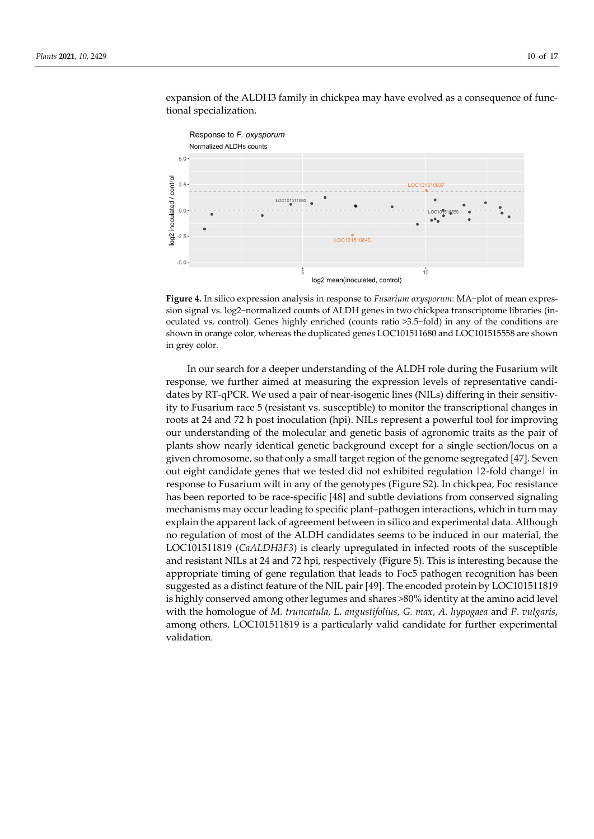

expansion of the ALDH3 family in chickpea may have evolved as a consequence of functional specialization.

**Figure 4.** In silico expression analysis in response to *Fusarium oxysporum*: MA−plot of mean expression signal vs. log2−normalized counts of ALDH genes in two chickpea transcriptome libraries (inoculated vs. control). Genes highly enriched (counts ratio >3.5−fold) in any of the conditions are shown in orange color, whereas the duplicated genes LOC101511680 and LOC101515558 are shown in grey color.

In our search for a deeper understanding of the ALDH role during the Fusarium wilt response, we further aimed at measuring the expression levels of representative candidates by RT-qPCR. We used a pair of near-isogenic lines (NILs) differing in their sensitivity to Fusarium race 5 (resistant vs. susceptible) to monitor the transcriptional changes in roots at 24 and 72 h post inoculation (hpi). NILs represent a powerful tool for improving our understanding of the molecular and genetic basis of agronomic traits as the pair of plants show nearly identical genetic background except for a single section/locus on a given chromosome, so that only a small target region of the genome segregated [\[47\].](https://sciwheel.com/work/citation?ids=6317428&pre=&suf=&sa=0) Seven out eight candidate genes that we tested did not exhibited regulation 12-fold changel in response to Fusarium wilt in any of the genotypes (Figure S2). In chickpea, Foc resistance has been reported to be race-specific [\[48\]](https://sciwheel.com/work/citation?ids=6492274&pre=&suf=&sa=0) and subtle deviations from conserved signaling mechanisms may occur leading to specific plant–pathogen interactions, which in turn may explain the apparent lack of agreement between in silico and experimental data. Although no regulation of most of the ALDH candidates seems to be induced in our material, the LOC101511819 (*CaALDH3F3*) is clearly upregulated in infected roots of the susceptible and resistant NILs at 24 and 72 hpi, respectively (Figure 5). This is interesting because the appropriate timing of gene regulation that leads to Foc5 pathogen recognition has been suggested as a distinct feature of the NIL pair [\[49\].](https://sciwheel.com/work/citation?ids=11679402&pre=&suf=&sa=0) The encoded protein by LOC101511819 is highly conserved among other legumes and shares >80% identity at the amino acid level with the homologue of *M. truncatula*, *L. angustifolius*, *G. max*, *A. hypogaea* and *P. vulgaris*, among others. LOC101511819 is a particularly valid candidate for further experimental validation.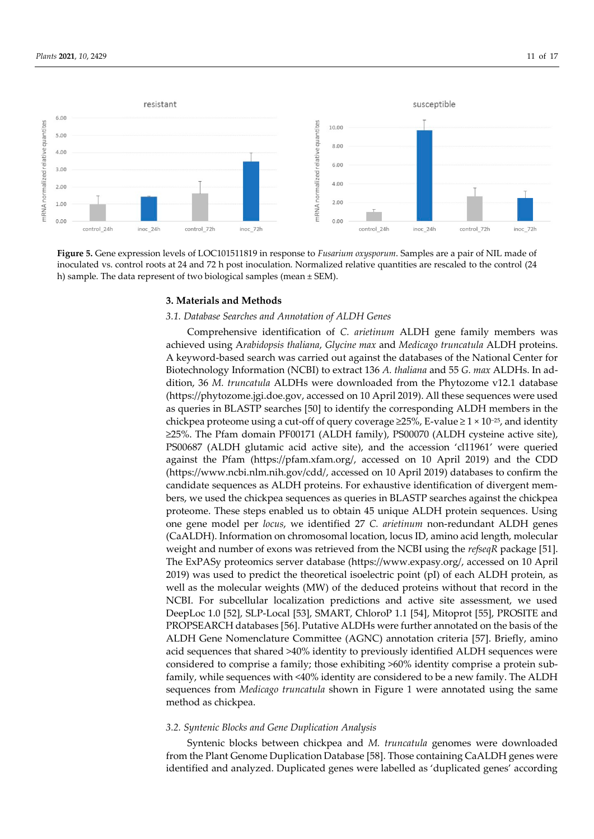

**Figure 5.** Gene expression levels of LOC101511819 in response to *Fusarium oxysporum*. Samples are a pair of NIL made of inoculated vs. control roots at 24 and 72 h post inoculation. Normalized relative quantities are rescaled to the control (24 h) sample. The data represent of two biological samples (mean ± SEM).

#### **3. Materials and Methods**

## *3.1. Database Searches and Annotation of ALDH Genes*

Comprehensive identification of *C. arietinum* ALDH gene family members was achieved using A*rabidopsis thaliana*, *Glycine max* and *Medicago truncatula* ALDH proteins. A keyword-based search was carried out against the databases of the National Center for Biotechnology Information (NCBI) to extract 136 *A. thaliana* and 55 *G. max* ALDHs. In addition, 36 *M. truncatula* ALDHs were downloaded from the Phytozome v12.1 database [\(https://phytozome.jgi.doe.gov,](https://phytozome.jgi.doe.gov/) accessed on 10 April 2019). All these sequences were used as queries in BLASTP searches [\[50\]](https://sciwheel.com/work/citation?ids=215&pre=&suf=&sa=0) to identify the corresponding ALDH members in the chickpea proteome using a cut-off of query coverage ≥25%, E-value ≥ 1  $\times$  10<sup>-25</sup>, and identity ≥25%. The Pfam domain PF00171 (ALDH family), PS00070 (ALDH cysteine active site), PS00687 (ALDH glutamic acid active site), and the accession 'cl11961' were queried against the Pfam [\(https://pfam.xfam.org/,](https://pfam.xfam.org/) accessed on 10 April 2019) and the CDD [\(https://www.ncbi.nlm.nih.gov/cdd/,](https://www.ncbi.nlm.nih.gov/cdd/) accessed on 10 April 2019) databases to confirm the candidate sequences as ALDH proteins. For exhaustive identification of divergent members, we used the chickpea sequences as queries in BLASTP searches against the chickpea proteome. These steps enabled us to obtain 45 unique ALDH protein sequences. Using one gene model per *locus*, we identified 27 *C. arietinum* non-redundant ALDH genes (CaALDH). Information on chromosomal location, locus ID, amino acid length, molecular weight and number of exons was retrieved from the NCBI using the *refseqR* package [\[51\].](file:///C:/Users/Usuario/AppData/Local/Temp/%5b51%5d) The ExPASy proteomics server database [\(https://www.expasy.org/,](https://www.expasy.org/) accessed on 10 April 2019) was used to predict the theoretical isoelectric point (pI) of each ALDH protein, as well as the molecular weights (MW) of the deduced proteins without that record in the NCBI. For subcellular localization predictions and active site assessment, we used DeepLoc 1.0 [\[52\],](https://sciwheel.com/work/citation?ids=5990465&pre=&suf=&sa=0) SLP-Local [\[53\],](https://sciwheel.com/work/citation?ids=4068751&pre=&suf=&sa=0) SMART, ChloroP 1.1 [\[54\],](https://sciwheel.com/work/citation?ids=742356&pre=&suf=&sa=0) Mitoprot [\[55\],](https://sciwheel.com/work/citation?ids=1546674&pre=&suf=&sa=0) PROSITE and PROPSEARCH database[s \[56\].](https://sciwheel.com/work/citation?ids=6847775&pre=&suf=&sa=0) Putative ALDHs were further annotated on the basis of the ALDH Gene Nomenclature Committee (AGNC) annotation criteria [\[57\].](https://sciwheel.com/work/citation?ids=6847782&pre=&suf=&sa=0) Briefly, amino acid sequences that shared >40% identity to previously identified ALDH sequences were considered to comprise a family; those exhibiting >60% identity comprise a protein subfamily, while sequences with <40% identity are considered to be a new family. The ALDH sequences from *Medicago truncatula* shown in Figure 1 were annotated using the same method as chickpea.

#### *3.2. Syntenic Blocks and Gene Duplication Analysis*

Syntenic blocks between chickpea and *M. truncatula* genomes were downloaded from the Plant Genome Duplication Databas[e \[58\].](https://sciwheel.com/work/citation?ids=1433555&pre=&suf=&sa=0) Those containing CaALDH genes were identified and analyzed. Duplicated genes were labelled as 'duplicated genes' according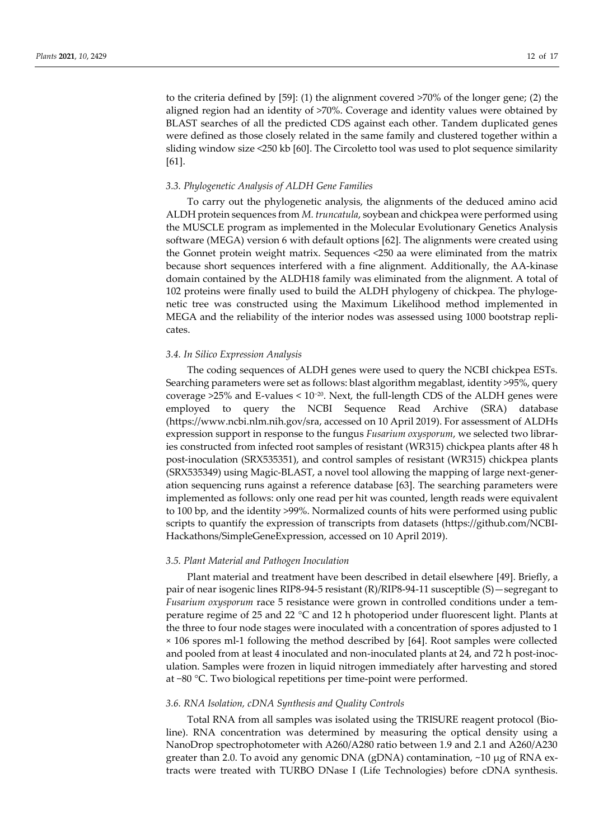to the criteria defined by [\[59\]:](https://sciwheel.com/work/citation?ids=5383559&pre=&suf=&sa=0) (1) the alignment covered >70% of the longer gene; (2) the aligned region had an identity of >70%. Coverage and identity values were obtained by BLAST searches of all the predicted CDS against each other. Tandem duplicated genes were defined as those closely related in the same family and clustered together within a sliding window size <250 k[b \[60\].](https://sciwheel.com/work/citation?ids=1261448&pre=&suf=&sa=0) The Circoletto tool was used to plot sequence similarity [\[61\].](https://sciwheel.com/work/citation?ids=1308077&pre=&suf=&sa=0)

#### *3.3. Phylogenetic Analysis of ALDH Gene Families*

To carry out the phylogenetic analysis, the alignments of the deduced amino acid ALDH protein sequences from *M. truncatula*, soybean and chickpea were performed using the MUSCLE program as implemented in the Molecular Evolutionary Genetics Analysis software (MEGA) version 6 with default options [\[62\].](https://sciwheel.com/work/citation?ids=227217&pre=&suf=&sa=0) The alignments were created using the Gonnet protein weight matrix. Sequences <250 aa were eliminated from the matrix because short sequences interfered with a fine alignment. Additionally, the AA-kinase domain contained by the ALDH18 family was eliminated from the alignment. A total of 102 proteins were finally used to build the ALDH phylogeny of chickpea. The phylogenetic tree was constructed using the Maximum Likelihood method implemented in MEGA and the reliability of the interior nodes was assessed using 1000 bootstrap replicates.

## *3.4. In Silico Expression Analysis*

The coding sequences of ALDH genes were used to query the NCBI chickpea ESTs. Searching parameters were set as follows: blast algorithm megablast, identity >95%, query coverage >25% and E-values < 10−2<sup>0</sup> . Next, the full-length CDS of the ALDH genes were employed to query the NCBI Sequence Read Archive (SRA) database [\(https://www.ncbi.nlm.nih.gov/sra,](https://www.ncbi.nlm.nih.gov/sra) accessed on 10 April 2019). For assessment of ALDHs expression support in response to the fungus *Fusarium oxysporum*, we selected two libraries constructed from infected root samples of resistant (WR315) chickpea plants after 48 h post-inoculation (SRX535351), and control samples of resistant (WR315) chickpea plants (SRX535349) using Magic-BLAST, a novel tool allowing the mapping of large next-generation sequencing runs against a reference database [63]. The searching parameters were implemented as follows: only one read per hit was counted, length reads were equivalent to 100 bp, and the identity >99%. Normalized counts of hits were performed using public scripts to quantify the expression of transcripts from datasets [\(https://github.com/NCBI-](https://github.com/NCBI-Hackathons/SimpleGeneExpression)[Hackathons/SimpleGeneExpression,](https://github.com/NCBI-Hackathons/SimpleGeneExpression) accessed on 10 April 2019).

## *3.5. Plant Material and Pathogen Inoculation*

Plant material and treatment have been described in detail elsewhere [\[49\].](https://sciwheel.com/work/citation?ids=11679402&pre=&suf=&sa=0) Briefly, a pair of near isogenic lines RIP8-94-5 resistant (R)/RIP8-94-11 susceptible (S)—segregant to *Fusarium oxysporum* race 5 resistance were grown in controlled conditions under a temperature regime of 25 and 22 °C and 12 h photoperiod under fluorescent light. Plants at the three to four node stages were inoculated with a concentration of spores adjusted to 1 × 106 spores ml-1 following the method described by [64]. Root samples were collected and pooled from at least 4 inoculated and non-inoculated plants at 24, and 72 h post-inoculation. Samples were frozen in liquid nitrogen immediately after harvesting and stored at −80 °C. Two biological repetitions per time-point were performed.

# *3.6. RNA Isolation, cDNA Synthesis and Quality Controls*

Total RNA from all samples was isolated using the TRISURE reagent protocol (Bioline). RNA concentration was determined by measuring the optical density using a NanoDrop spectrophotometer with A260/A280 ratio between 1.9 and 2.1 and A260/A230 greater than 2.0. To avoid any genomic DNA (gDNA) contamination, ~10 μg of RNA extracts were treated with TURBO DNase I (Life Technologies) before cDNA synthesis.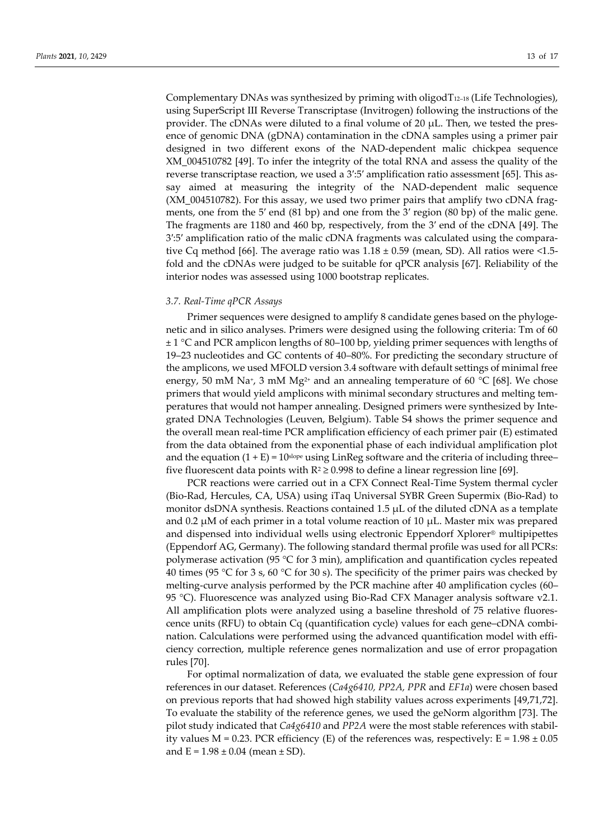Complementary DNAs was synthesized by priming with oligod $T_{12-18}$  (Life Technologies), using SuperScript III Reverse Transcriptase (Invitrogen) following the instructions of the provider. The cDNAs were diluted to a final volume of 20  $\mu$ L. Then, we tested the presence of genomic DNA (gDNA) contamination in the cDNA samples using a primer pair designed in two different exons of the NAD-dependent malic chickpea sequence XM\_004510782 [\[49\].](https://sciwheel.com/work/citation?ids=11679402&pre=&suf=&sa=0) To infer the integrity of the total RNA and assess the quality of the reverse transcriptase reaction, we used a 3':5' amplification ratio assessment [65]. This assay aimed at measuring the integrity of the NAD-dependent malic sequence (XM\_004510782). For this assay, we used two primer pairs that amplify two cDNA fragments, one from the 5′ end (81 bp) and one from the 3′ region (80 bp) of the malic gene. The fragments are 1180 and 460 bp, respectively, from the 3′ end of the cDNA [\[49\].](https://sciwheel.com/work/citation?ids=11679402&pre=&suf=&sa=0) The 3′:5′ amplification ratio of the malic cDNA fragments was calculated using the comparative Cq method [66]. The average ratio was  $1.18 \pm 0.59$  (mean, SD). All ratios were <1.5fold and the cDNAs were judged to be suitable for qPCR analysis [67]. Reliability of the interior nodes was assessed using 1000 bootstrap replicates.

## *3.7. Real-Time qPCR Assays*

Primer sequences were designed to amplify 8 candidate genes based on the phylogenetic and in silico analyses. Primers were designed using the following criteria: Tm of 60 ± 1 °C and PCR amplicon lengths of 80–100 bp, yielding primer sequences with lengths of 19–23 nucleotides and GC contents of 40–80%. For predicting the secondary structure of the amplicons, we used MFOLD version 3.4 software with default settings of minimal free energy, 50 mM Na<sup>+</sup>, 3 mM Mg<sup>2+</sup> and an annealing temperature of 60  $^{\circ}$ C [68]. We chose primers that would yield amplicons with minimal secondary structures and melting temperatures that would not hamper annealing. Designed primers were synthesized by Integrated DNA Technologies (Leuven, Belgium). Table S4 shows the primer sequence and the overall mean real-time PCR amplification efficiency of each primer pair (E) estimated from the data obtained from the exponential phase of each individual amplification plot and the equation  $(1 + E) = 10$ slope using LinReg software and the criteria of including three– five fluorescent data points with  $R^2 \ge 0.998$  to define a linear regression line [69].

PCR reactions were carried out in a CFX Connect Real-Time System thermal cycler (Bio-Rad, Hercules, CA, USA) using iTaq Universal SYBR Green Supermix (Bio-Rad) to monitor dsDNA synthesis. Reactions contained 1.5 μL of the diluted cDNA as a template and 0.2  $\mu$ M of each primer in a total volume reaction of 10  $\mu$ L. Master mix was prepared and dispensed into individual wells using electronic Eppendorf Xplorer® multipipettes (Eppendorf AG, Germany). The following standard thermal profile was used for all PCRs: polymerase activation (95 °C for 3 min), amplification and quantification cycles repeated 40 times (95 °C for 3 s, 60 °C for 30 s). The specificity of the primer pairs was checked by melting-curve analysis performed by the PCR machine after 40 amplification cycles (60– 95 °C). Fluorescence was analyzed using Bio-Rad CFX Manager analysis software v2.1. All amplification plots were analyzed using a baseline threshold of 75 relative fluorescence units (RFU) to obtain Cq (quantification cycle) values for each gene–cDNA combination. Calculations were performed using the advanced quantification model with efficiency correction, multiple reference genes normalization and use of error propagation rules [70].

For optimal normalization of data, we evaluated the stable gene expression of four references in our dataset. References (*Ca4g6410, PP2A, PPR* and *EF1a*) were chosen based on previous reports that had showed high stability values across experiments [49,71,72]. To evaluate the stability of the reference genes, we used the geNorm algorithm [73]. The pilot study indicated that *Ca4g6410* and *PP2A* were the most stable references with stability values  $M = 0.23$ . PCR efficiency (E) of the references was, respectively:  $E = 1.98 \pm 0.05$ and  $E = 1.98 \pm 0.04$  (mean  $\pm$  SD).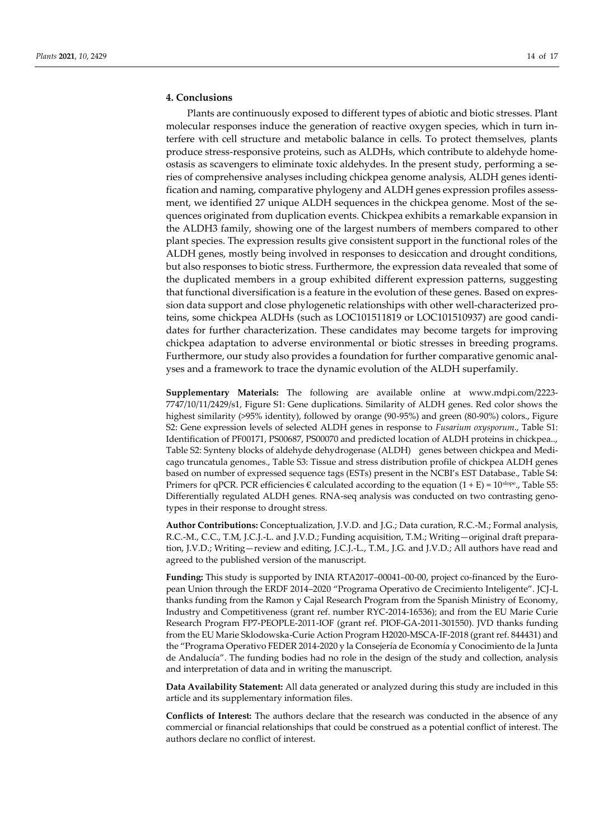# **4. Conclusions**

Plants are continuously exposed to different types of abiotic and biotic stresses. Plant molecular responses induce the generation of reactive oxygen species, which in turn interfere with cell structure and metabolic balance in cells. To protect themselves, plants produce stress-responsive proteins, such as ALDHs, which contribute to aldehyde homeostasis as scavengers to eliminate toxic aldehydes. In the present study, performing a series of comprehensive analyses including chickpea genome analysis, ALDH genes identification and naming, comparative phylogeny and ALDH genes expression profiles assessment, we identified 27 unique ALDH sequences in the chickpea genome. Most of the sequences originated from duplication events. Chickpea exhibits a remarkable expansion in the ALDH3 family, showing one of the largest numbers of members compared to other plant species. The expression results give consistent support in the functional roles of the ALDH genes, mostly being involved in responses to desiccation and drought conditions, but also responses to biotic stress. Furthermore, the expression data revealed that some of the duplicated members in a group exhibited different expression patterns, suggesting that functional diversification is a feature in the evolution of these genes. Based on expression data support and close phylogenetic relationships with other well-characterized proteins, some chickpea ALDHs (such as LOC101511819 or LOC101510937) are good candidates for further characterization. These candidates may become targets for improving chickpea adaptation to adverse environmental or biotic stresses in breeding programs. Furthermore, our study also provides a foundation for further comparative genomic analyses and a framework to trace the dynamic evolution of the ALDH superfamily.

**Supplementary Materials:** The following are available online at www.mdpi.com/2223- 7747/10/11/2429/s1, Figure S1: Gene duplications. Similarity of ALDH genes. Red color shows the highest similarity (>95% identity), followed by orange (90-95%) and green (80-90%) colors., Figure S2: Gene expression levels of selected ALDH genes in response to *Fusarium oxysporum*., Table S1: Identification of PF00171, PS00687, PS00070 and predicted location of ALDH proteins in chickpea.., Table S2: Synteny blocks of aldehyde dehydrogenase (ALDH) genes between chickpea and Medicago truncatula genomes., Table S3: Tissue and stress distribution profile of chickpea ALDH genes based on number of expressed sequence tags (ESTs) present in the NCBI's EST Database., Table S4: Primers for qPCR. PCR efficiencies  $\epsilon$  calculated according to the equation  $(1 + E) = 10^{\text{slope}}$ ., Table S5: Differentially regulated ALDH genes. RNA-seq analysis was conducted on two contrasting genotypes in their response to drought stress.

**Author Contributions:** Conceptualization, J.V.D. and J.G.; Data curation, R.C.-M.; Formal analysis, R.C.-M., C.C., T.M, J.C.J.-L. and J.V.D.; Funding acquisition, T.M.; Writing—original draft preparation, J.V.D.; Writing—review and editing, J.C.J.-L., T.M., J.G. and J.V.D.; All authors have read and agreed to the published version of the manuscript.

**Funding:** This study is supported by INIA RTA2017–00041–00-00, project co-financed by the European Union through the ERDF 2014–2020 "Programa Operativo de Crecimiento Inteligente". JCJ-L thanks funding from the Ramon y Cajal Research Program from the Spanish Ministry of Economy, Industry and Competitiveness (grant ref. number RYC-2014-16536); and from the EU Marie Curie Research Program FP7-PEOPLE-2011-IOF (grant ref. PIOF-GA-2011-301550). JVD thanks funding from the EU Marie Sklodowska-Curie Action Program H2020-MSCA-IF-2018 (grant ref. 844431) and the "Programa Operativo FEDER 2014-2020 y la Consejería de Economía y Conocimiento de la Junta de Andalucía". The funding bodies had no role in the design of the study and collection, analysis and interpretation of data and in writing the manuscript.

**Data Availability Statement:** All data generated or analyzed during this study are included in this article and its supplementary information files.

**Conflicts of Interest:** The authors declare that the research was conducted in the absence of any commercial or financial relationships that could be construed as a potential conflict of interest. The authors declare no conflict of interest.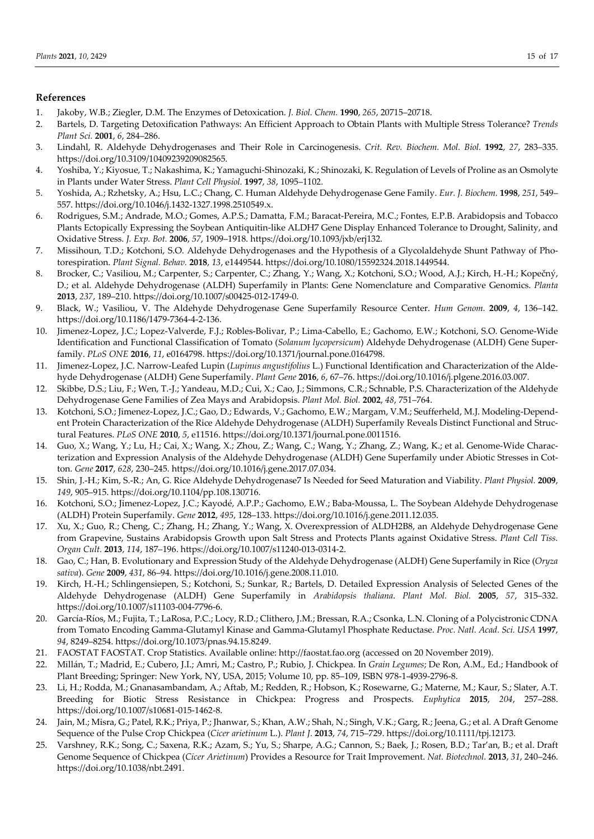# **References**

- 1. Jakoby, W.B.; Ziegler, D.M. The Enzymes of Detoxication. *J. Biol. Chem.* **1990**, *265*, 20715–20718.
- 2. Bartels, D. Targeting Detoxification Pathways: An Efficient Approach to Obtain Plants with Multiple Stress Tolerance? *Trends Plant Sci.* **2001**, *6*, 284–286.
- 3. Lindahl, R. Aldehyde Dehydrogenases and Their Role in Carcinogenesis. *Crit. Rev. Biochem. Mol. Biol.* **1992**, *27*, 283–335. https://doi.org/10.3109/10409239209082565.
- 4. Yoshiba, Y.; Kiyosue, T.; Nakashima, K.; Yamaguchi-Shinozaki, K.; Shinozaki, K. Regulation of Levels of Proline as an Osmolyte in Plants under Water Stress. *Plant Cell Physiol.* **1997**, *38*, 1095–1102.
- 5. Yoshida, A.; Rzhetsky, A.; Hsu, L.C.; Chang, C. Human Aldehyde Dehydrogenase Gene Family. *Eur. J. Biochem.* **1998**, *251*, 549– 557. https://doi.org/10.1046/j.1432-1327.1998.2510549.x.
- 6. Rodrigues, S.M.; Andrade, M.O.; Gomes, A.P.S.; Damatta, F.M.; Baracat-Pereira, M.C.; Fontes, E.P.B. Arabidopsis and Tobacco Plants Ectopically Expressing the Soybean Antiquitin-like ALDH7 Gene Display Enhanced Tolerance to Drought, Salinity, and Oxidative Stress. *J. Exp. Bot.* **2006**, *57*, 1909–1918. https://doi.org/10.1093/jxb/erj132.
- 7. Missihoun, T.D.; Kotchoni, S.O. Aldehyde Dehydrogenases and the Hypothesis of a Glycolaldehyde Shunt Pathway of Photorespiration. *Plant Signal. Behav.* **2018**, *13*, e1449544. https://doi.org/10.1080/15592324.2018.1449544.
- 8. Brocker, C.; Vasiliou, M.; Carpenter, S.; Carpenter, C.; Zhang, Y.; Wang, X.; Kotchoni, S.O.; Wood, A.J.; Kirch, H.-H.; Kopečný, D.; et al. Aldehyde Dehydrogenase (ALDH) Superfamily in Plants: Gene Nomenclature and Comparative Genomics. *Planta* **2013**, *237*, 189–210. https://doi.org/10.1007/s00425-012-1749-0.
- 9. Black, W.; Vasiliou, V. The Aldehyde Dehydrogenase Gene Superfamily Resource Center. *Hum Genom.* **2009**, *4*, 136–142. https://doi.org/10.1186/1479-7364-4-2-136.
- 10. Jimenez-Lopez, J.C.; Lopez-Valverde, F.J.; Robles-Bolivar, P.; Lima-Cabello, E.; Gachomo, E.W.; Kotchoni, S.O. Genome-Wide Identification and Functional Classification of Tomato (*Solanum lycopersicum*) Aldehyde Dehydrogenase (ALDH) Gene Superfamily. *PLoS ONE* **2016**, *11*, e0164798. https://doi.org/10.1371/journal.pone.0164798.
- 11. Jimenez-Lopez, J.C. Narrow-Leafed Lupin (*Lupinus angustifolius* L.) Functional Identification and Characterization of the Aldehyde Dehydrogenase (ALDH) Gene Superfamily. *Plant Gene* **2016**, *6*, 67–76. https://doi.org/10.1016/j.plgene.2016.03.007.
- 12. Skibbe, D.S.; Liu, F.; Wen, T.-J.; Yandeau, M.D.; Cui, X.; Cao, J.; Simmons, C.R.; Schnable, P.S. Characterization of the Aldehyde Dehydrogenase Gene Families of Zea Mays and Arabidopsis. *Plant Mol. Biol.* **2002**, *48*, 751–764.
- 13. Kotchoni, S.O.; Jimenez-Lopez, J.C.; Gao, D.; Edwards, V.; Gachomo, E.W.; Margam, V.M.; Seufferheld, M.J. Modeling-Dependent Protein Characterization of the Rice Aldehyde Dehydrogenase (ALDH) Superfamily Reveals Distinct Functional and Structural Features. *PLoS ONE* **2010**, *5*, e11516. https://doi.org/10.1371/journal.pone.0011516.
- 14. Guo, X.; Wang, Y.; Lu, H.; Cai, X.; Wang, X.; Zhou, Z.; Wang, C.; Wang, Y.; Zhang, Z.; Wang, K.; et al. Genome-Wide Characterization and Expression Analysis of the Aldehyde Dehydrogenase (ALDH) Gene Superfamily under Abiotic Stresses in Cotton. *Gene* **2017**, *628*, 230–245. https://doi.org/10.1016/j.gene.2017.07.034.
- 15. Shin, J.-H.; Kim, S.-R.; An, G. Rice Aldehyde Dehydrogenase7 Is Needed for Seed Maturation and Viability. *Plant Physiol.* **2009**, *149*, 905–915. https://doi.org/10.1104/pp.108.130716.
- 16. Kotchoni, S.O.; Jimenez-Lopez, J.C.; Kayodé, A.P.P.; Gachomo, E.W.; Baba-Moussa, L. The Soybean Aldehyde Dehydrogenase (ALDH) Protein Superfamily. *Gene* **2012**, *495*, 128–133. https://doi.org/10.1016/j.gene.2011.12.035.
- 17. Xu, X.; Guo, R.; Cheng, C.; Zhang, H.; Zhang, Y.; Wang, X. Overexpression of ALDH2B8, an Aldehyde Dehydrogenase Gene from Grapevine, Sustains Arabidopsis Growth upon Salt Stress and Protects Plants against Oxidative Stress. *Plant Cell Tiss. Organ Cult.* **2013**, *114*, 187–196. https://doi.org/10.1007/s11240-013-0314-2.
- 18. Gao, C.; Han, B. Evolutionary and Expression Study of the Aldehyde Dehydrogenase (ALDH) Gene Superfamily in Rice (*Oryza sativa*). *Gene* **2009**, *431*, 86–94. https://doi.org/10.1016/j.gene.2008.11.010.
- 19. Kirch, H.-H.; Schlingensiepen, S.; Kotchoni, S.; Sunkar, R.; Bartels, D. Detailed Expression Analysis of Selected Genes of the Aldehyde Dehydrogenase (ALDH) Gene Superfamily in *Arabidopsis thaliana*. *Plant Mol. Biol.* **2005**, *57*, 315–332. https://doi.org/10.1007/s11103-004-7796-6.
- 20. García-Ríos, M.; Fujita, T.; LaRosa, P.C.; Locy, R.D.; Clithero, J.M.; Bressan, R.A.; Csonka, L.N. Cloning of a Polycistronic CDNA from Tomato Encoding Gamma-Glutamyl Kinase and Gamma-Glutamyl Phosphate Reductase. *Proc. Natl. Acad. Sci. USA* **1997**, *94*, 8249–8254. https://doi.org/10.1073/pnas.94.15.8249.
- 21. FAOSTAT FAOSTAT. Crop Statistics. Available online: http://faostat.fao.org (accessed on 20 November 2019).
- 22. Millán, T.; Madrid, E.; Cubero, J.I.; Amri, M.; Castro, P.; Rubio, J. Chickpea. In *Grain Legumes*; De Ron, A.M., Ed.; Handbook of Plant Breeding; Springer: New York, NY, USA, 2015; Volume 10, pp. 85–109, ISBN 978-1-4939-2796-8.
- 23. Li, H.; Rodda, M.; Gnanasambandam, A.; Aftab, M.; Redden, R.; Hobson, K.; Rosewarne, G.; Materne, M.; Kaur, S.; Slater, A.T. Breeding for Biotic Stress Resistance in Chickpea: Progress and Prospects. *Euphytica* **2015**, *204*, 257–288. https://doi.org/10.1007/s10681-015-1462-8.
- 24. Jain, M.; Misra, G.; Patel, R.K.; Priya, P.; Jhanwar, S.; Khan, A.W.; Shah, N.; Singh, V.K.; Garg, R.; Jeena, G.; et al. A Draft Genome Sequence of the Pulse Crop Chickpea (*Cicer arietinum* L.). *Plant J.* **2013**, *74*, 715–729. https://doi.org/10.1111/tpj.12173.
- 25. Varshney, R.K.; Song, C.; Saxena, R.K.; Azam, S.; Yu, S.; Sharpe, A.G.; Cannon, S.; Baek, J.; Rosen, B.D.; Tar'an, B.; et al. Draft Genome Sequence of Chickpea (*Cicer Arietinum*) Provides a Resource for Trait Improvement. *Nat. Biotechnol.* **2013**, *31*, 240–246. https://doi.org/10.1038/nbt.2491.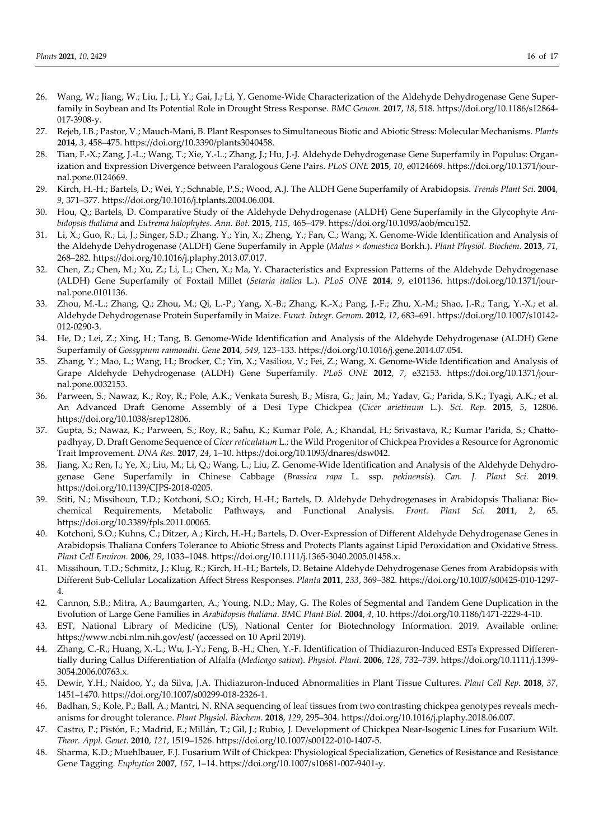- 26. Wang, W.; Jiang, W.; Liu, J.; Li, Y.; Gai, J.; Li, Y. Genome-Wide Characterization of the Aldehyde Dehydrogenase Gene Superfamily in Soybean and Its Potential Role in Drought Stress Response. *BMC Genom.* **2017**, *18*, 518. https://doi.org/10.1186/s12864- 017-3908-y.
- 27. Rejeb, I.B.; Pastor, V.; Mauch-Mani, B. Plant Responses to Simultaneous Biotic and Abiotic Stress: Molecular Mechanisms. *Plants* **2014**, *3*, 458–475. https://doi.org/10.3390/plants3040458.
- 28. Tian, F.-X.; Zang, J.-L.; Wang, T.; Xie, Y.-L.; Zhang, J.; Hu, J.-J. Aldehyde Dehydrogenase Gene Superfamily in Populus: Organization and Expression Divergence between Paralogous Gene Pairs. *PLoS ONE* **2015**, *10*, e0124669. https://doi.org/10.1371/journal.pone.0124669.
- 29. Kirch, H.-H.; Bartels, D.; Wei, Y.; Schnable, P.S.; Wood, A.J. The ALDH Gene Superfamily of Arabidopsis. *Trends Plant Sci.* **2004**, *9*, 371–377. https://doi.org/10.1016/j.tplants.2004.06.004.
- 30. Hou, Q.; Bartels, D. Comparative Study of the Aldehyde Dehydrogenase (ALDH) Gene Superfamily in the Glycophyte *Arabidopsis thaliana* and *Eutrema halophytes*. *Ann. Bot.* **2015**, *115*, 465–479. https://doi.org/10.1093/aob/mcu152.
- 31. Li, X.; Guo, R.; Li, J.; Singer, S.D.; Zhang, Y.; Yin, X.; Zheng, Y.; Fan, C.; Wang, X. Genome-Wide Identification and Analysis of the Aldehyde Dehydrogenase (ALDH) Gene Superfamily in Apple (*Malus* × *domestica* Borkh.). *Plant Physiol. Biochem.* **2013**, *71*, 268–282. https://doi.org/10.1016/j.plaphy.2013.07.017.
- 32. Chen, Z.; Chen, M.; Xu, Z.; Li, L.; Chen, X.; Ma, Y. Characteristics and Expression Patterns of the Aldehyde Dehydrogenase (ALDH) Gene Superfamily of Foxtail Millet (*Setaria italica* L.). *PLoS ONE* **2014**, *9*, e101136. https://doi.org/10.1371/journal.pone.0101136.
- 33. Zhou, M.-L.; Zhang, Q.; Zhou, M.; Qi, L.-P.; Yang, X.-B.; Zhang, K.-X.; Pang, J.-F.; Zhu, X.-M.; Shao, J.-R.; Tang, Y.-X.; et al. Aldehyde Dehydrogenase Protein Superfamily in Maize. *Funct. Integr. Genom.* **2012**, *12*, 683–691. https://doi.org/10.1007/s10142- 012-0290-3.
- 34. He, D.; Lei, Z.; Xing, H.; Tang, B. Genome-Wide Identification and Analysis of the Aldehyde Dehydrogenase (ALDH) Gene Superfamily of *Gossypium raimondii*. *Gene* **2014**, *549*, 123–133. https://doi.org/10.1016/j.gene.2014.07.054.
- 35. Zhang, Y.; Mao, L.; Wang, H.; Brocker, C.; Yin, X.; Vasiliou, V.; Fei, Z.; Wang, X. Genome-Wide Identification and Analysis of Grape Aldehyde Dehydrogenase (ALDH) Gene Superfamily. *PLoS ONE* **2012**, *7*, e32153. https://doi.org/10.1371/journal.pone.0032153.
- 36. Parween, S.; Nawaz, K.; Roy, R.; Pole, A.K.; Venkata Suresh, B.; Misra, G.; Jain, M.; Yadav, G.; Parida, S.K.; Tyagi, A.K.; et al. An Advanced Draft Genome Assembly of a Desi Type Chickpea (*Cicer arietinum* L.). *Sci. Rep.* **2015**, *5*, 12806. https://doi.org/10.1038/srep12806.
- 37. Gupta, S.; Nawaz, K.; Parween, S.; Roy, R.; Sahu, K.; Kumar Pole, A.; Khandal, H.; Srivastava, R.; Kumar Parida, S.; Chattopadhyay, D. Draft Genome Sequence of *Cicer reticulatum* L.; the Wild Progenitor of Chickpea Provides a Resource for Agronomic Trait Improvement. *DNA Res.* **2017**, *24*, 1–10. https://doi.org/10.1093/dnares/dsw042.
- 38. Jiang, X.; Ren, J.; Ye, X.; Liu, M.; Li, Q.; Wang, L.; Liu, Z. Genome-Wide Identification and Analysis of the Aldehyde Dehydrogenase Gene Superfamily in Chinese Cabbage (*Brassica rapa* L. ssp. *pekinensis*). *Can. J. Plant Sci.* **2019**. https://doi.org/10.1139/CJPS-2018-0205.
- 39. Stiti, N.; Missihoun, T.D.; Kotchoni, S.O.; Kirch, H.-H.; Bartels, D. Aldehyde Dehydrogenases in Arabidopsis Thaliana: Biochemical Requirements, Metabolic Pathways, and Functional Analysis. *Front. Plant Sci.* **2011**, *2*, 65. https://doi.org/10.3389/fpls.2011.00065.
- 40. Kotchoni, S.O.; Kuhns, C.; Ditzer, A.; Kirch, H.-H.; Bartels, D. Over-Expression of Different Aldehyde Dehydrogenase Genes in Arabidopsis Thaliana Confers Tolerance to Abiotic Stress and Protects Plants against Lipid Peroxidation and Oxidative Stress. *Plant Cell Environ.* **2006**, *29*, 1033–1048. https://doi.org/10.1111/j.1365-3040.2005.01458.x.
- 41. Missihoun, T.D.; Schmitz, J.; Klug, R.; Kirch, H.-H.; Bartels, D. Betaine Aldehyde Dehydrogenase Genes from Arabidopsis with Different Sub-Cellular Localization Affect Stress Responses. *Planta* **2011**, *233*, 369–382. https://doi.org/10.1007/s00425-010-1297- 4.
- 42. Cannon, S.B.; Mitra, A.; Baumgarten, A.; Young, N.D.; May, G. The Roles of Segmental and Tandem Gene Duplication in the Evolution of Large Gene Families in *Arabidopsis thaliana*. *BMC Plant Biol.* **2004**, *4*, 10. https://doi.org/10.1186/1471-2229-4-10.
- 43. EST, National Library of Medicine (US), National Center for Biotechnology Information. 2019. Available online: https://www.ncbi.nlm.nih.gov/est/ (accessed on 10 April 2019).
- 44. Zhang, C.-R.; Huang, X.-L.; Wu, J.-Y.; Feng, B.-H.; Chen, Y.-F. Identification of Thidiazuron-Induced ESTs Expressed Differentially during Callus Differentiation of Alfalfa (*Medicago sativa*). *Physiol. Plant.* **2006**, *128*, 732–739. https://doi.org/10.1111/j.1399- 3054.2006.00763.x.
- 45. Dewir, Y.H.; Naidoo, Y.; da Silva, J.A. Thidiazuron-Induced Abnormalities in Plant Tissue Cultures. *Plant Cell Rep.* **2018**, *37*, 1451–1470. https://doi.org/10.1007/s00299-018-2326-1.
- 46. Badhan, S.; Kole, P.; Ball, A.; Mantri, N. RNA sequencing of leaf tissues from two contrasting chickpea genotypes reveals mechanisms for drought tolerance. *Plant Physiol. Biochem*. **2018**, *129*, 295–304. https://doi.org/10.1016/j.plaphy.2018.06.007.
- 47. Castro, P.; Pistón, F.; Madrid, E.; Millán, T.; Gil, J.; Rubio, J. Development of Chickpea Near-Isogenic Lines for Fusarium Wilt. *Theor. Appl. Genet.* **2010**, *121*, 1519–1526. https://doi.org/10.1007/s00122-010-1407-5.
- 48. Sharma, K.D.; Muehlbauer, F.J. Fusarium Wilt of Chickpea: Physiological Specialization, Genetics of Resistance and Resistance Gene Tagging. *Euphytica* **2007**, *157*, 1–14. https://doi.org/10.1007/s10681-007-9401-y.